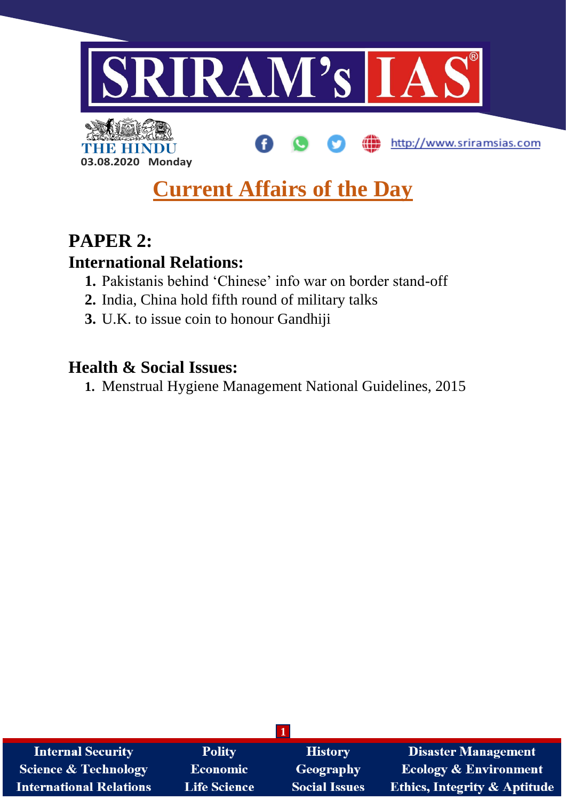

ŒĐ

http://www.sriramsias.com

THE HIN **03.08.2020 Monday**

# **Current Affairs of the Day**

## **PAPER 2:**

### **International Relations:**

- **1.** Pakistanis behind 'Chinese' info war on border stand-off
- **2.** India, China hold fifth round of military talks
- **3.** U.K. to issue coin to honour Gandhiji

### **Health & Social Issues:**

**1.** Menstrual Hygiene Management National Guidelines, 2015

| <b>Internal Security</b>       | <b>Polity</b>       | <b>History</b>       | <b>Disaster Management</b>              |
|--------------------------------|---------------------|----------------------|-----------------------------------------|
| Science & Technology           | <b>Economic</b>     | Geography            | <b>Ecology &amp; Environment</b>        |
| <b>International Relations</b> | <b>Life Science</b> | <b>Social Issues</b> | <b>Ethics, Integrity &amp; Aptitude</b> |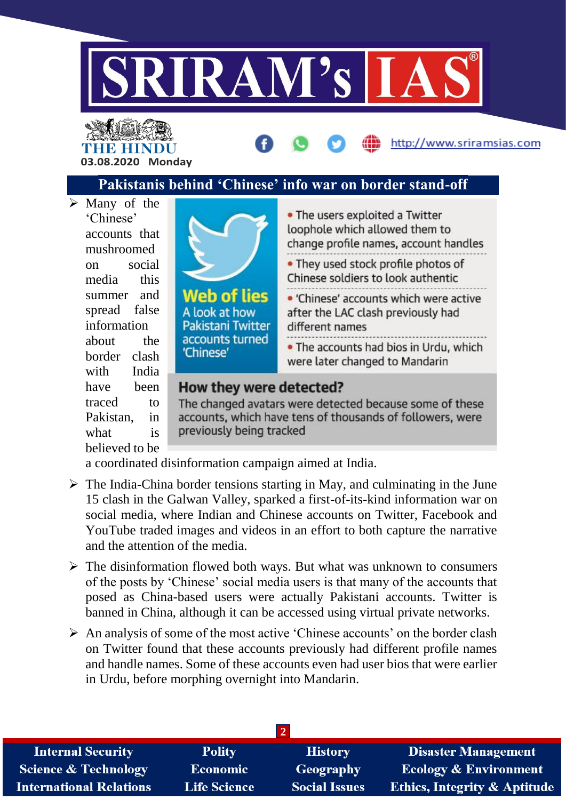

THE HINDU **03.08.2020 Monday**



 $\triangleright$  Many of the 'Chinese' accounts that mushroomed on social media this summer and spread false information about the border clash with India have been traced to Pakistan, in what is believed to be



|     | • The users exploited a Twitter<br>loophole which allowed them to<br>change profile names, account handles |
|-----|------------------------------------------------------------------------------------------------------------|
|     | • They used stock profile photos of<br>Chinese soldiers to look authentic                                  |
| ter | • 'Chinese' accounts which were active<br>after the LAC clash previously had<br>different names            |
| ed  | . The accounts had bios in Urdu, which<br>were later changed to Mandarin                                   |

http://www.sriramsias.com

#### How they were detected?

The changed avatars were detected because some of these accounts, which have tens of thousands of followers, were previously being tracked

a coordinated disinformation campaign aimed at India.

- $\triangleright$  The India-China border tensions starting in May, and culminating in the June 15 clash in the Galwan Valley, sparked a first-of-its-kind information war on social media, where Indian and Chinese accounts on Twitter, Facebook and YouTube traded images and videos in an effort to both capture the narrative and the attention of the media.
- $\triangleright$  The disinformation flowed both ways. But what was unknown to consumers of the posts by 'Chinese' social media users is that many of the accounts that posed as China-based users were actually Pakistani accounts. Twitter is banned in China, although it can be accessed using virtual private networks.
- $\triangleright$  An analysis of some of the most active 'Chinese accounts' on the border clash on Twitter found that these accounts previously had different profile names and handle names. Some of these accounts even had user bios that were earlier in Urdu, before morphing overnight into Mandarin.

| <b>Internal Security</b>        | <b>Polity</b>       | <b>History</b>       | <b>Disaster Management</b>              |
|---------------------------------|---------------------|----------------------|-----------------------------------------|
| <b>Science &amp; Technology</b> | Economic            | Geography            | <b>Ecology &amp; Environment</b>        |
| <b>International Relations</b>  | <b>Life Science</b> | <b>Social Issues</b> | <b>Ethics, Integrity &amp; Aptitude</b> |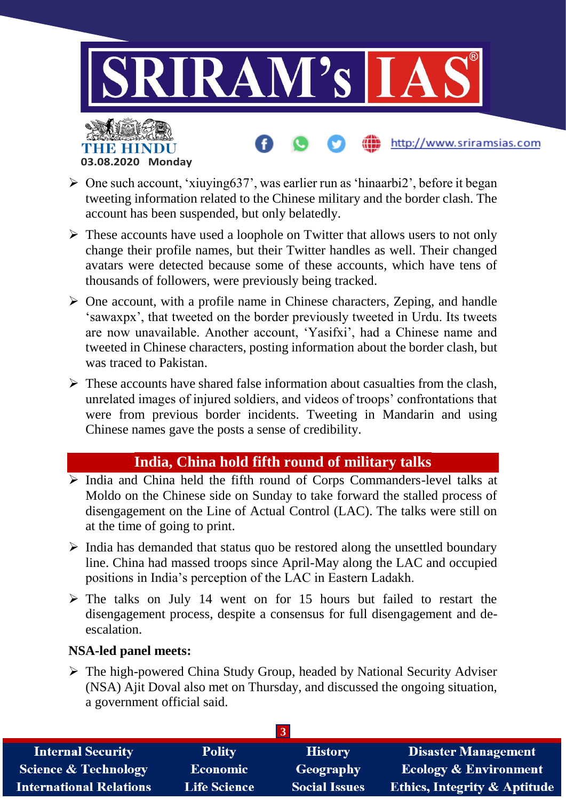

http://www.sriramsias.com

- $\triangleright$  One such account, 'xiuying 637', was earlier run as 'hinaarbi2', before it began tweeting information related to the Chinese military and the border clash. The account has been suspended, but only belatedly.
- $\triangleright$  These accounts have used a loophole on Twitter that allows users to not only change their profile names, but their Twitter handles as well. Their changed avatars were detected because some of these accounts, which have tens of thousands of followers, were previously being tracked.
- $\triangleright$  One account, with a profile name in Chinese characters, Zeping, and handle 'sawaxpx', that tweeted on the border previously tweeted in Urdu. Its tweets are now unavailable. Another account, 'Yasifxi', had a Chinese name and tweeted in Chinese characters, posting information about the border clash, but was traced to Pakistan.
- $\triangleright$  These accounts have shared false information about casualties from the clash. unrelated images of injured soldiers, and videos of troops' confrontations that were from previous border incidents. Tweeting in Mandarin and using Chinese names gave the posts a sense of credibility.

#### **India, China hold fifth round of military talks**

- $\triangleright$  India and China held the fifth round of Corps Commanders-level talks at Moldo on the Chinese side on Sunday to take forward the stalled process of disengagement on the Line of Actual Control (LAC). The talks were still on at the time of going to print.
- $\triangleright$  India has demanded that status quo be restored along the unsettled boundary line. China had massed troops since April-May along the LAC and occupied positions in India's perception of the LAC in Eastern Ladakh.
- The talks on July 14 went on for 15 hours but failed to restart the disengagement process, despite a consensus for full disengagement and deescalation.

#### **NSA-led panel meets:**

**03.08.2020 Monday**

THE HINDL

 The high-powered China Study Group, headed by National Security Adviser (NSA) Ajit Doval also met on Thursday, and discussed the ongoing situation, a government official said.

| <b>Internal Security</b>        | <b>Polity</b>       | <b>History</b>       | <b>Disaster Management</b>              |
|---------------------------------|---------------------|----------------------|-----------------------------------------|
| <b>Science &amp; Technology</b> | <b>Economic</b>     | Geography            | <b>Ecology &amp; Environment</b>        |
| <b>International Relations</b>  | <b>Life Science</b> | <b>Social Issues</b> | <b>Ethics, Integrity &amp; Aptitude</b> |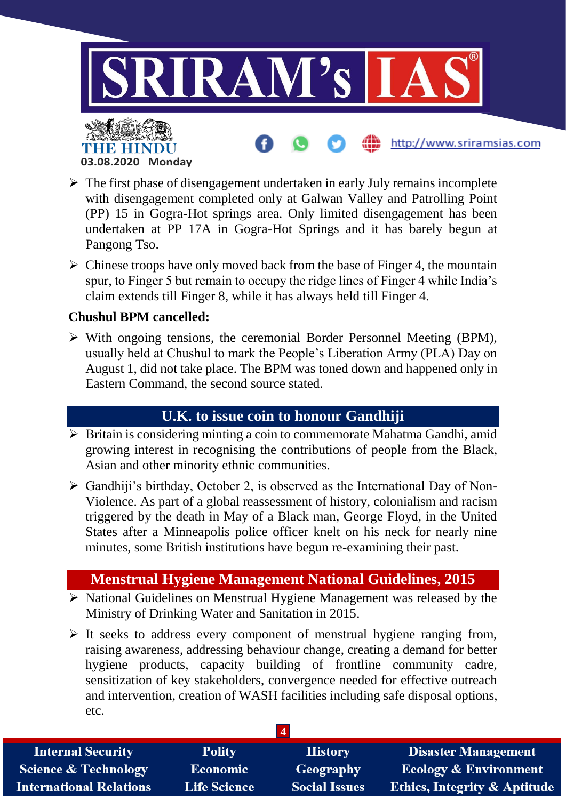

 $\triangleright$  The first phase of disengagement undertaken in early July remains incomplete with disengagement completed only at Galwan Valley and Patrolling Point (PP) 15 in Gogra-Hot springs area. Only limited disengagement has been undertaken at PP 17A in Gogra-Hot Springs and it has barely begun at Pangong Tso.

 $\triangleright$  Chinese troops have only moved back from the base of Finger 4, the mountain spur, to Finger 5 but remain to occupy the ridge lines of Finger 4 while India's claim extends till Finger 8, while it has always held till Finger 4.

#### **Chushul BPM cancelled:**

**03.08.2020 Monday**

 $\triangleright$  With ongoing tensions, the ceremonial Border Personnel Meeting (BPM), usually held at Chushul to mark the People's Liberation Army (PLA) Day on August 1, did not take place. The BPM was toned down and happened only in Eastern Command, the second source stated.

#### **U.K. to issue coin to honour Gandhiji**

- $\triangleright$  Britain is considering minting a coin to commemorate Mahatma Gandhi, amid growing interest in recognising the contributions of people from the Black, Asian and other minority ethnic communities.
- $\triangleright$  Gandhiji's birthday, October 2, is observed as the International Day of Non-Violence. As part of a global reassessment of history, colonialism and racism triggered by the death in May of a Black man, George Floyd, in the United States after a Minneapolis police officer knelt on his neck for nearly nine minutes, some British institutions have begun re-examining their past.

#### **Menstrual Hygiene Management National Guidelines, 2015**

- $\triangleright$  National Guidelines on Menstrual Hygiene Management was released by the Ministry of Drinking Water and Sanitation in 2015.
- $\triangleright$  It seeks to address every component of menstrual hygiene ranging from, raising awareness, addressing behaviour change, creating a demand for better hygiene products, capacity building of frontline community cadre, sensitization of key stakeholders, convergence needed for effective outreach and intervention, creation of WASH facilities including safe disposal options, etc.

| <b>Internal Security</b>       | <b>Polity</b>       | <b>History</b>       | <b>Disaster Management</b>              |
|--------------------------------|---------------------|----------------------|-----------------------------------------|
| Science & Technology           | <b>Economic</b>     | Geography            | <b>Ecology &amp; Environment</b>        |
| <b>International Relations</b> | <b>Life Science</b> | <b>Social Issues</b> | <b>Ethics, Integrity &amp; Aptitude</b> |